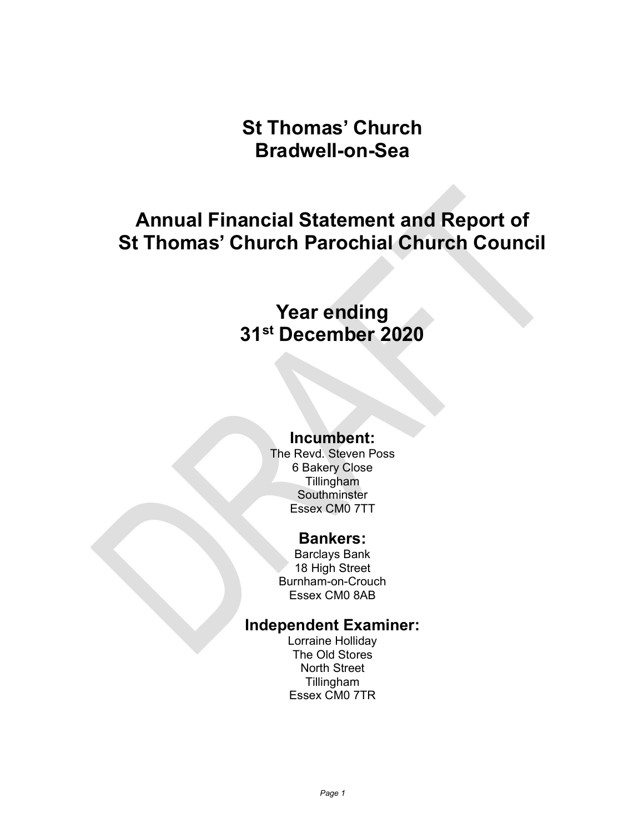# St Thomas' Church Bradwell-on-Sea

# Annual Financial Statement and Report of St Thomas' Church Parochial Church Council

## Year ending 31st December 2020

#### Incumbent:

The Revd. Steven Poss 6 Bakery Close Tillingham Southminster Essex CM0 7TT

### Bankers:

Barclays Bank 18 High Street Burnham-on-Crouch Essex CM0 8AB

### Independent Examiner:

Lorraine Holliday The Old Stores North Street Tillingham Essex CM0 7TR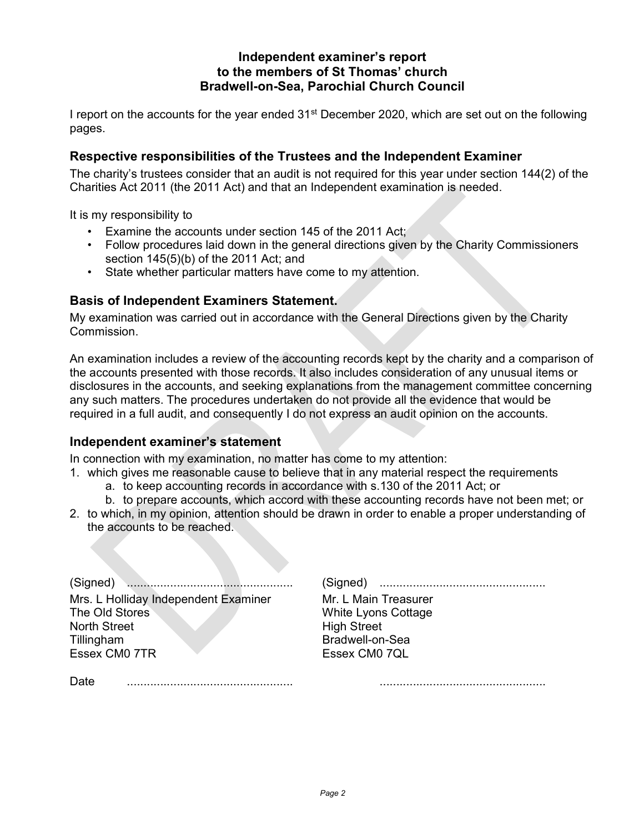#### Independent examiner's report to the members of St Thomas' church Bradwell-on-Sea, Parochial Church Council

I report on the accounts for the year ended 31<sup>st</sup> December 2020, which are set out on the following pages.

#### Respective responsibilities of the Trustees and the Independent Examiner

The charity's trustees consider that an audit is not required for this year under section 144(2) of the Charities Act 2011 (the 2011 Act) and that an Independent examination is needed.

It is my responsibility to

- Examine the accounts under section 145 of the 2011 Act;
- Follow procedures laid down in the general directions given by the Charity Commissioners section 145(5)(b) of the 2011 Act; and
- State whether particular matters have come to my attention.

#### Basis of Independent Examiners Statement.

My examination was carried out in accordance with the General Directions given by the Charity **Commission** 

An examination includes a review of the accounting records kept by the charity and a comparison of the accounts presented with those records. It also includes consideration of any unusual items or disclosures in the accounts, and seeking explanations from the management committee concerning any such matters. The procedures undertaken do not provide all the evidence that would be required in a full audit, and consequently I do not express an audit opinion on the accounts.

#### Independent examiner's statement

In connection with my examination, no matter has come to my attention:

- 1. which gives me reasonable cause to believe that in any material respect the requirements
	- a. to keep accounting records in accordance with s.130 of the 2011 Act; or
	- b. to prepare accounts, which accord with these accounting records have not been met; or
- 2. to which, in my opinion, attention should be drawn in order to enable a proper understanding of the accounts to be reached.

| (Signed)                             |                      |
|--------------------------------------|----------------------|
| Mrs. L Holliday Independent Examiner | Mr. L Main Treasurer |
| The Old Stores                       | White Lyons Cottage  |
| <b>North Street</b>                  | <b>High Street</b>   |
| Tillingham                           | Bradwell-on-Sea      |
| Essex CM0 7TR                        | Essex CM0 7QL        |
|                                      |                      |

Date .................................................. ..................................................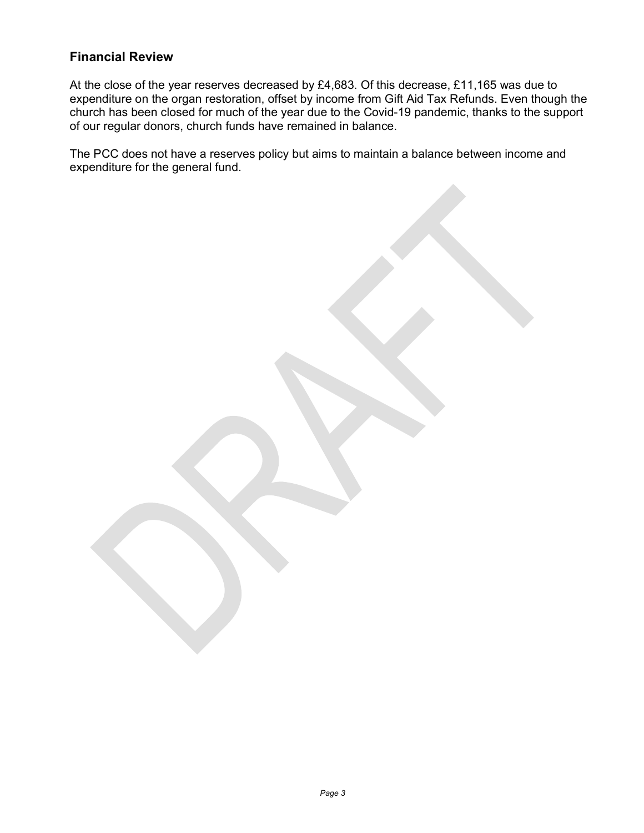#### Financial Review

At the close of the year reserves decreased by £4,683. Of this decrease, £11,165 was due to expenditure on the organ restoration, offset by income from Gift Aid Tax Refunds. Even though the church has been closed for much of the year due to the Covid-19 pandemic, thanks to the support of our regular donors, church funds have remained in balance.

The PCC does not have a reserves policy but aims to maintain a balance between income and expenditure for the general fund.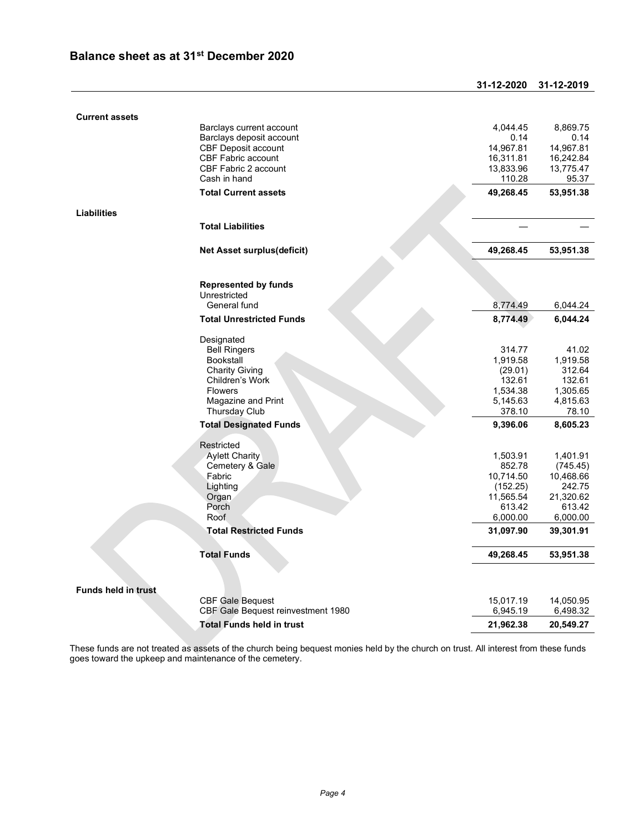#### Balance sheet as at 31st December 2020

#### 31-12-2020 31-12-2019

| <b>Current assets</b>      |                                             |           |           |
|----------------------------|---------------------------------------------|-----------|-----------|
|                            | Barclays current account                    | 4,044.45  | 8,869.75  |
|                            | Barclays deposit account                    | 0.14      | 0.14      |
|                            | <b>CBF Deposit account</b>                  | 14,967.81 | 14,967.81 |
|                            | <b>CBF Fabric account</b>                   | 16,311.81 | 16,242.84 |
|                            | CBF Fabric 2 account                        | 13,833.96 | 13,775.47 |
|                            | Cash in hand                                | 110.28    | 95.37     |
|                            | <b>Total Current assets</b>                 | 49,268.45 | 53,951.38 |
| Liabilities                |                                             |           |           |
|                            | <b>Total Liabilities</b>                    |           |           |
|                            | <b>Net Asset surplus(deficit)</b>           | 49,268.45 | 53,951.38 |
|                            |                                             |           |           |
|                            | <b>Represented by funds</b><br>Unrestricted |           |           |
|                            | General fund                                | 8,774.49  | 6,044.24  |
|                            | <b>Total Unrestricted Funds</b>             | 8,774.49  | 6,044.24  |
|                            | Designated                                  |           |           |
|                            | <b>Bell Ringers</b>                         | 314.77    | 41.02     |
|                            | <b>Bookstall</b>                            | 1,919.58  | 1,919.58  |
|                            | <b>Charity Giving</b>                       | (29.01)   | 312.64    |
|                            | Children's Work                             | 132.61    | 132.61    |
|                            | <b>Flowers</b>                              | 1,534.38  | 1,305.65  |
|                            | Magazine and Print                          | 5,145.63  | 4,815.63  |
|                            | Thursday Club                               | 378.10    | 78.10     |
|                            | <b>Total Designated Funds</b>               | 9,396.06  | 8,605.23  |
|                            | Restricted                                  |           |           |
|                            | <b>Aylett Charity</b>                       | 1,503.91  | 1,401.91  |
|                            | Cemetery & Gale                             | 852.78    | (745.45)  |
|                            | Fabric                                      | 10,714.50 | 10,468.66 |
|                            | Lighting                                    | (152.25)  | 242.75    |
|                            | Organ                                       | 11,565.54 | 21,320.62 |
|                            | Porch                                       | 613.42    | 613.42    |
|                            | Roof                                        | 6,000.00  | 6,000.00  |
|                            | <b>Total Restricted Funds</b>               | 31,097.90 | 39,301.91 |
|                            | <b>Total Funds</b>                          | 49,268.45 | 53,951.38 |
|                            |                                             |           |           |
| <b>Funds held in trust</b> |                                             |           |           |
|                            | <b>CBF Gale Bequest</b>                     | 15,017.19 | 14,050.95 |
|                            | CBF Gale Bequest reinvestment 1980          | 6,945.19  | 6,498.32  |
|                            | Total Funds held in trust                   | 21,962.38 | 20,549.27 |
|                            |                                             |           |           |

These funds are not treated as assets of the church being bequest monies held by the church on trust. All interest from these funds goes toward the upkeep and maintenance of the cemetery.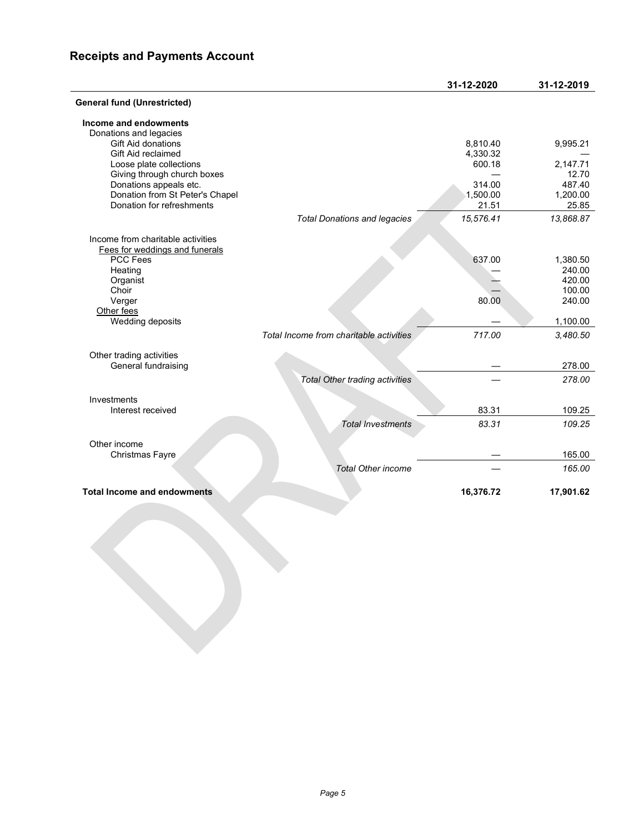#### Receipts and Payments Account

|                                                           |                                         | 31-12-2020         | 31-12-2019         |
|-----------------------------------------------------------|-----------------------------------------|--------------------|--------------------|
| <b>General fund (Unrestricted)</b>                        |                                         |                    |                    |
| Income and endowments<br>Donations and legacies           |                                         |                    |                    |
| <b>Gift Aid donations</b>                                 |                                         | 8,810.40           | 9,995.21           |
| Gift Aid reclaimed<br>Loose plate collections             |                                         | 4,330.32<br>600.18 | 2,147.71           |
| Giving through church boxes                               |                                         |                    | 12.70              |
| Donations appeals etc.<br>Donation from St Peter's Chapel |                                         | 314.00<br>1,500.00 | 487.40<br>1,200.00 |
| Donation for refreshments                                 |                                         | 21.51              | 25.85              |
|                                                           | <b>Total Donations and legacies</b>     | 15,576.41          | 13,868.87          |
| Income from charitable activities                         |                                         |                    |                    |
| Fees for weddings and funerals                            |                                         |                    |                    |
| <b>PCC Fees</b><br>Heating                                |                                         | 637.00             | 1,380.50<br>240.00 |
| Organist                                                  |                                         |                    | 420.00             |
| Choir<br>Verger                                           |                                         | 80.00              | 100.00<br>240.00   |
| Other fees                                                |                                         |                    |                    |
| Wedding deposits                                          |                                         |                    | 1,100.00           |
|                                                           | Total Income from charitable activities | 717.00             | 3,480.50           |
| Other trading activities                                  |                                         |                    |                    |
| General fundraising                                       |                                         |                    | 278.00             |
|                                                           | <b>Total Other trading activities</b>   |                    | 278.00             |
| Investments                                               |                                         |                    |                    |
| Interest received                                         |                                         | 83.31              | 109.25             |
|                                                           | <b>Total Investments</b>                | 83.31              | 109.25             |
| Other income                                              |                                         |                    |                    |
| <b>Christmas Fayre</b>                                    |                                         |                    | 165.00             |
|                                                           | <b>Total Other income</b>               |                    | 165.00             |
| <b>Total Income and endowments</b>                        |                                         | 16,376.72          | 17,901.62          |
|                                                           |                                         |                    |                    |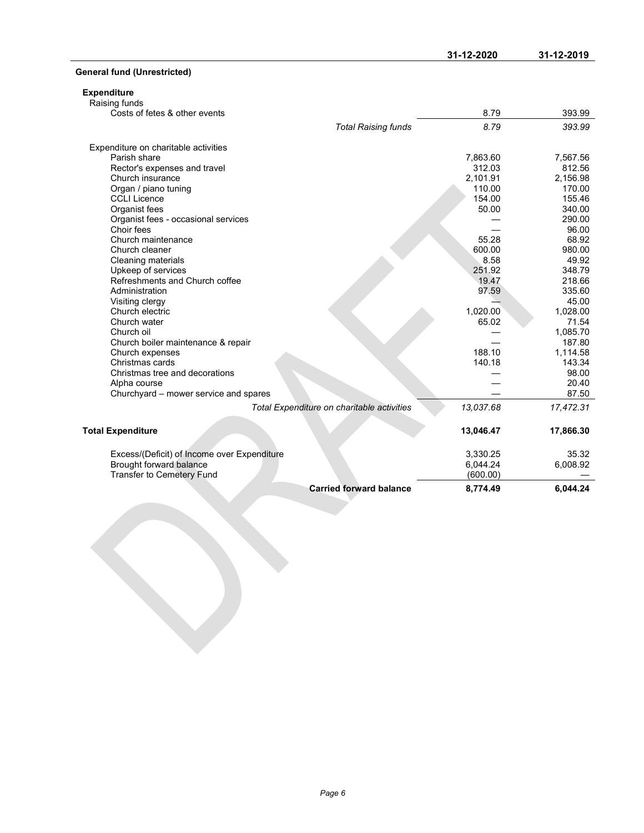|                                             | 31-12-2020 | 31-12-2019 |
|---------------------------------------------|------------|------------|
| <b>General fund (Unrestricted)</b>          |            |            |
| <b>Expenditure</b>                          |            |            |
| Raising funds                               |            |            |
| Costs of fetes & other events               | 8.79       | 393.99     |
| <b>Total Raising funds</b>                  | 8.79       | 393.99     |
| Expenditure on charitable activities        |            |            |
| Parish share                                | 7,863.60   | 7,567.56   |
| Rector's expenses and travel                | 312.03     | 812.56     |
| Church insurance                            | 2,101.91   | 2,156.98   |
| Organ / piano tuning                        | 110.00     | 170.00     |
| <b>CCLI Licence</b>                         | 154.00     | 155.46     |
| Organist fees                               | 50.00      | 340.00     |
| Organist fees - occasional services         |            | 290.00     |
| Choir fees                                  |            | 96.00      |
| Church maintenance                          | 55.28      | 68.92      |
| Church cleaner                              | 600.00     | 980.00     |
| <b>Cleaning materials</b>                   | 8.58       | 49.92      |
| Upkeep of services                          | 251.92     | 348.79     |
| Refreshments and Church coffee              | 19.47      | 218.66     |
| Administration                              | 97.59      | 335.60     |
| Visiting clergy                             |            | 45.00      |
| Church electric                             | 1,020.00   | 1,028.00   |
| Church water                                | 65.02      | 71.54      |
| Church oil                                  |            | 1,085.70   |
| Church boiler maintenance & repair          |            | 187.80     |
| Church expenses                             | 188.10     | 1,114.58   |
| Christmas cards                             | 140.18     | 143.34     |
| Christmas tree and decorations              |            | 98.00      |
| Alpha course                                |            | 20.40      |
| Churchyard - mower service and spares       |            | 87.50      |
| Total Expenditure on charitable activities  | 13,037.68  | 17,472.31  |
| <b>Total Expenditure</b>                    | 13,046.47  | 17,866.30  |
| Excess/(Deficit) of Income over Expenditure | 3,330.25   | 35.32      |
| Brought forward balance                     | 6,044.24   | 6,008.92   |
| <b>Transfer to Cemetery Fund</b>            | (600.00)   |            |
| <b>Carried forward balance</b>              | 8,774.49   | 6,044.24   |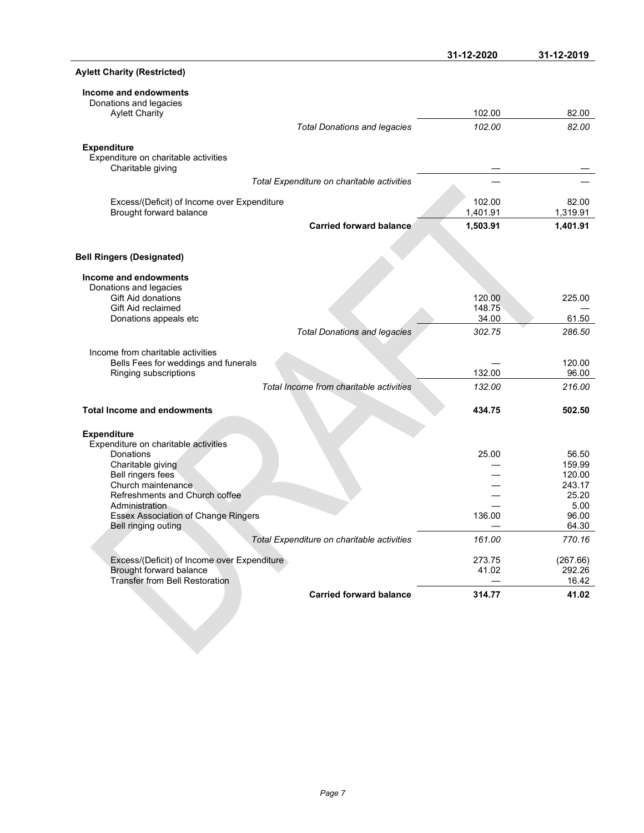|                                                                                 |                                            | 31-12-2020       | 31-12-2019       |
|---------------------------------------------------------------------------------|--------------------------------------------|------------------|------------------|
| <b>Aylett Charity (Restricted)</b>                                              |                                            |                  |                  |
| Income and endowments                                                           |                                            |                  |                  |
| Donations and legacies<br><b>Aylett Charity</b>                                 |                                            | 102.00           | 82.00            |
|                                                                                 |                                            | 102.00           | 82.00            |
|                                                                                 | <b>Total Donations and legacies</b>        |                  |                  |
| <b>Expenditure</b><br>Expenditure on charitable activities<br>Charitable giving |                                            |                  |                  |
|                                                                                 | Total Expenditure on charitable activities |                  |                  |
| Excess/(Deficit) of Income over Expenditure                                     |                                            | 102.00           | 82.00            |
| Brought forward balance                                                         |                                            | 1,401.91         | 1,319.91         |
|                                                                                 | <b>Carried forward balance</b>             | 1,503.91         | 1,401.91         |
|                                                                                 |                                            |                  |                  |
| <b>Bell Ringers (Designated)</b>                                                |                                            |                  |                  |
| Income and endowments<br>Donations and legacies                                 |                                            |                  |                  |
| <b>Gift Aid donations</b>                                                       |                                            | 120.00           | 225.00           |
| Gift Aid reclaimed                                                              |                                            | 148.75           |                  |
| Donations appeals etc                                                           |                                            | 34.00            | 61.50            |
|                                                                                 | <b>Total Donations and legacies</b>        | 302.75           | 286.50           |
| Income from charitable activities                                               |                                            |                  |                  |
| Bells Fees for weddings and funerals                                            |                                            |                  | 120.00           |
| Ringing subscriptions                                                           |                                            | 132.00<br>132.00 | 96.00<br>216.00  |
|                                                                                 | Total Income from charitable activities    |                  |                  |
| <b>Total Income and endowments</b>                                              |                                            | 434.75           | 502.50           |
| <b>Expenditure</b>                                                              |                                            |                  |                  |
| Expenditure on charitable activities                                            |                                            |                  |                  |
| Donations                                                                       |                                            | 25.00            | 56.50            |
| Charitable giving                                                               |                                            |                  | 159.99           |
| Bell ringers fees<br>Church maintenance                                         |                                            |                  | 120.00<br>243.17 |
| Refreshments and Church coffee                                                  |                                            |                  | 25.20            |
| Administration                                                                  |                                            |                  | 5.00             |
| <b>Essex Association of Change Ringers</b>                                      |                                            | 136.00           | 96.00            |
| Bell ringing outing                                                             |                                            |                  | 64.30            |
|                                                                                 | Total Expenditure on charitable activities | 161.00           | 770.16           |
| Excess/(Deficit) of Income over Expenditure                                     |                                            | 273.75           | (267.66)         |
| Brought forward balance                                                         |                                            | 41.02            | 292.26           |
| <b>Transfer from Bell Restoration</b>                                           |                                            |                  | 16.42            |
|                                                                                 | <b>Carried forward balance</b>             | 314.77           | 41.02            |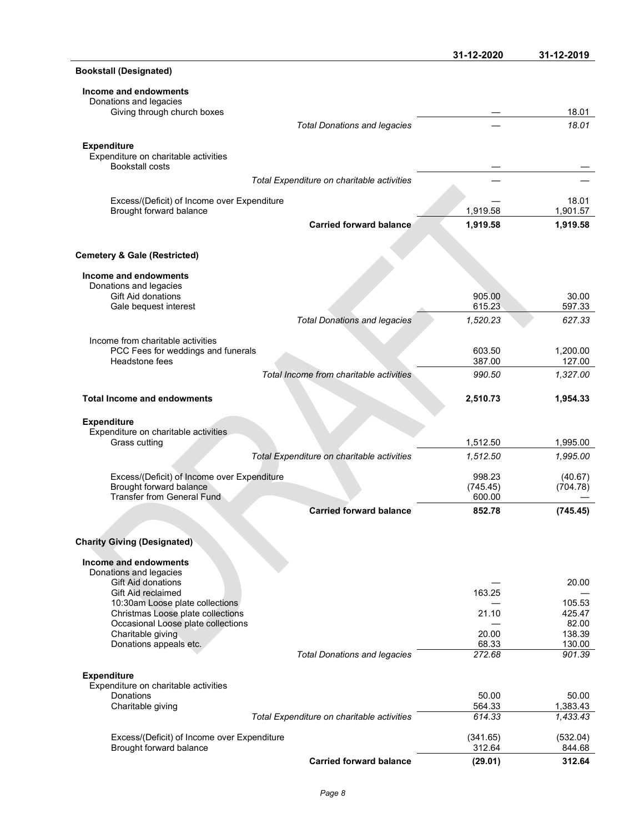|                                                                                      |                                            | 31-12-2020         | 31-12-2019          |
|--------------------------------------------------------------------------------------|--------------------------------------------|--------------------|---------------------|
| <b>Bookstall (Designated)</b>                                                        |                                            |                    |                     |
| Income and endowments                                                                |                                            |                    |                     |
| Donations and legacies                                                               |                                            |                    |                     |
| Giving through church boxes                                                          | <b>Total Donations and legacies</b>        |                    | 18.01<br>18.01      |
|                                                                                      |                                            |                    |                     |
| <b>Expenditure</b><br>Expenditure on charitable activities<br><b>Bookstall costs</b> |                                            |                    |                     |
|                                                                                      | Total Expenditure on charitable activities |                    |                     |
| Excess/(Deficit) of Income over Expenditure                                          |                                            |                    | 18.01               |
| Brought forward balance                                                              |                                            | 1,919.58           | 1,901.57            |
|                                                                                      | <b>Carried forward balance</b>             | 1,919.58           | 1,919.58            |
| <b>Cemetery &amp; Gale (Restricted)</b>                                              |                                            |                    |                     |
| Income and endowments                                                                |                                            |                    |                     |
| Donations and legacies                                                               |                                            |                    |                     |
| Gift Aid donations                                                                   |                                            | 905.00<br>615.23   | 30.00<br>597.33     |
| Gale bequest interest                                                                | <b>Total Donations and legacies</b>        | 1,520.23           | 627.33              |
|                                                                                      |                                            |                    |                     |
| Income from charitable activities<br>PCC Fees for weddings and funerals              |                                            | 603.50             | 1,200.00            |
| Headstone fees                                                                       |                                            | 387.00             | 127.00              |
|                                                                                      | Total Income from charitable activities    | 990.50             | 1,327.00            |
| <b>Total Income and endowments</b>                                                   |                                            | 2,510.73           | 1,954.33            |
| <b>Expenditure</b>                                                                   |                                            |                    |                     |
| Expenditure on charitable activities                                                 |                                            |                    |                     |
| Grass cutting                                                                        |                                            | 1,512.50           | 1,995.00            |
|                                                                                      | Total Expenditure on charitable activities | 1,512.50           | 1,995.00            |
| Excess/(Deficit) of Income over Expenditure<br>Brought forward balance               |                                            | 998.23<br>(745.45) | (40.67)<br>(704.78) |
| <b>Transfer from General Fund</b>                                                    |                                            | 600.00             |                     |
|                                                                                      | <b>Carried forward balance</b>             | 852.78             | (745.45)            |
|                                                                                      |                                            |                    |                     |
| <b>Charity Giving (Designated)</b>                                                   |                                            |                    |                     |
| Income and endowments                                                                |                                            |                    |                     |
| Donations and legacies<br>Gift Aid donations                                         |                                            |                    | 20.00               |
| Gift Aid reclaimed                                                                   |                                            | 163.25             |                     |
| 10:30am Loose plate collections                                                      |                                            |                    | 105.53              |
| Christmas Loose plate collections<br>Occasional Loose plate collections              |                                            | 21.10              | 425.47<br>82.00     |
| Charitable giving                                                                    |                                            | 20.00              | 138.39              |
| Donations appeals etc.                                                               |                                            | 68.33              | 130.00              |
|                                                                                      | <b>Total Donations and legacies</b>        | 272.68             | 901.39              |
| <b>Expenditure</b>                                                                   |                                            |                    |                     |
| Expenditure on charitable activities<br>Donations                                    |                                            | 50.00              | 50.00               |
| Charitable giving                                                                    |                                            | 564.33             | 1,383.43            |
|                                                                                      | Total Expenditure on charitable activities | 614.33             | 1,433.43            |
| Excess/(Deficit) of Income over Expenditure                                          |                                            | (341.65)           | (532.04)            |
| Brought forward balance                                                              | <b>Carried forward balance</b>             | 312.64<br>(29.01)  | 844.68<br>312.64    |
|                                                                                      |                                            |                    |                     |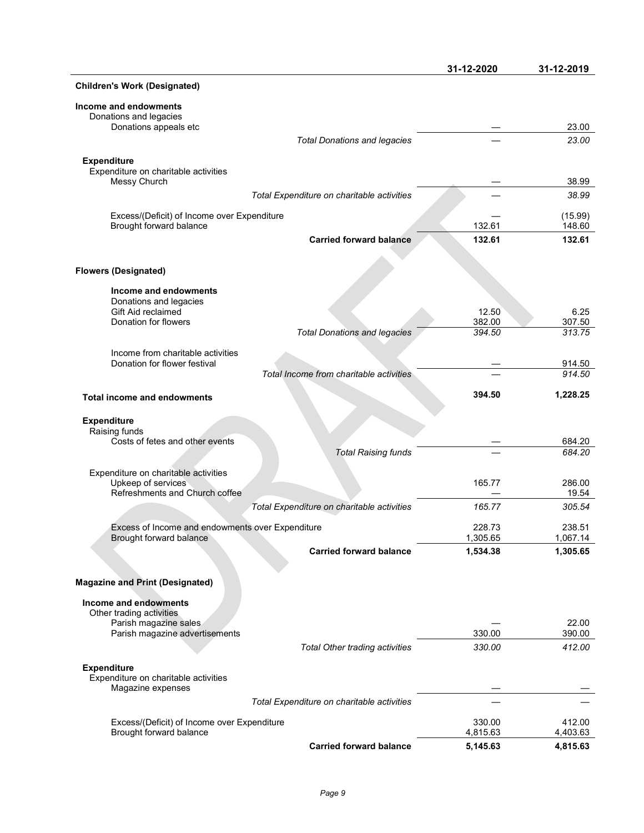|                                                                            |                                            | 31-12-2020         | 31-12-2019         |
|----------------------------------------------------------------------------|--------------------------------------------|--------------------|--------------------|
| <b>Children's Work (Designated)</b>                                        |                                            |                    |                    |
| Income and endowments<br>Donations and legacies<br>Donations appeals etc   |                                            |                    | 23.00              |
|                                                                            | <b>Total Donations and legacies</b>        |                    | 23.00              |
|                                                                            |                                            |                    |                    |
| <b>Expenditure</b><br>Expenditure on charitable activities<br>Messy Church |                                            |                    | 38.99              |
|                                                                            | Total Expenditure on charitable activities |                    | 38.99              |
| Excess/(Deficit) of Income over Expenditure                                |                                            |                    | (15.99)            |
| Brought forward balance                                                    |                                            | 132.61             | 148.60             |
|                                                                            | <b>Carried forward balance</b>             | 132.61             | 132.61             |
| <b>Flowers (Designated)</b>                                                |                                            |                    |                    |
| Income and endowments                                                      |                                            |                    |                    |
| Donations and legacies<br>Gift Aid reclaimed                               |                                            | 12.50              | 6.25               |
| Donation for flowers                                                       |                                            | 382.00             | 307.50             |
|                                                                            | <b>Total Donations and legacies</b>        | 394.50             | 313.75             |
| Income from charitable activities<br>Donation for flower festival          |                                            |                    | 914.50             |
|                                                                            | Total Income from charitable activities    |                    | 914.50             |
| <b>Total income and endowments</b>                                         |                                            | 394.50             | 1,228.25           |
|                                                                            |                                            |                    |                    |
| <b>Expenditure</b><br>Raising funds                                        |                                            |                    |                    |
| Costs of fetes and other events                                            |                                            |                    | 684.20             |
|                                                                            | <b>Total Raising funds</b>                 |                    | 684.20             |
| Expenditure on charitable activities                                       |                                            |                    |                    |
| Upkeep of services<br>Refreshments and Church coffee                       |                                            | 165.77             | 286.00<br>19.54    |
|                                                                            | Total Expenditure on charitable activities | 165.77             | 305.54             |
| Excess of Income and endowments over Expenditure                           |                                            | 228.73             | 238.51             |
| Brought forward balance                                                    |                                            | 1,305.65           | 1,067.14           |
|                                                                            | <b>Carried forward balance</b>             | 1,534.38           | 1,305.65           |
|                                                                            |                                            |                    |                    |
| <b>Magazine and Print (Designated)</b>                                     |                                            |                    |                    |
| Income and endowments<br>Other trading activities                          |                                            |                    |                    |
| Parish magazine sales<br>Parish magazine advertisements                    |                                            | 330.00             | 22.00<br>390.00    |
|                                                                            | <b>Total Other trading activities</b>      | 330.00             | 412.00             |
| <b>Expenditure</b>                                                         |                                            |                    |                    |
| Expenditure on charitable activities                                       |                                            |                    |                    |
| Magazine expenses                                                          | Total Expenditure on charitable activities |                    |                    |
|                                                                            |                                            |                    |                    |
| Excess/(Deficit) of Income over Expenditure<br>Brought forward balance     |                                            | 330.00<br>4,815.63 | 412.00<br>4,403.63 |
|                                                                            | <b>Carried forward balance</b>             | 5,145.63           | 4,815.63           |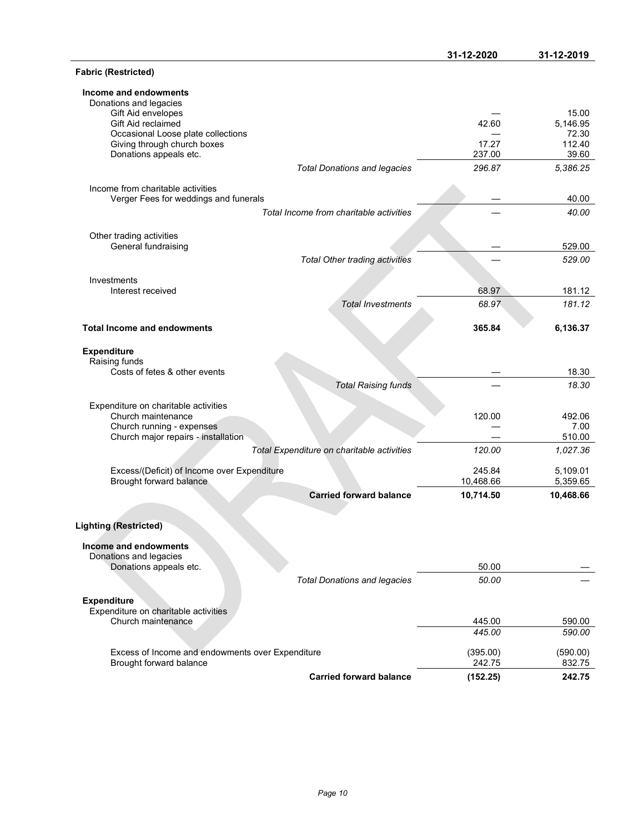|                                                                                |                                            | 31-12-2020          | 31-12-2019                 |
|--------------------------------------------------------------------------------|--------------------------------------------|---------------------|----------------------------|
| <b>Fabric (Restricted)</b>                                                     |                                            |                     |                            |
| Income and endowments<br>Donations and legacies                                |                                            |                     |                            |
| Gift Aid envelopes<br>Gift Aid reclaimed<br>Occasional Loose plate collections |                                            | 42.60               | 15.00<br>5,146.95<br>72.30 |
| Giving through church boxes<br>Donations appeals etc.                          |                                            | 17.27<br>237.00     | 112.40<br>39.60            |
|                                                                                | <b>Total Donations and legacies</b>        | 296.87              | 5,386.25                   |
| Income from charitable activities<br>Verger Fees for weddings and funerals     |                                            |                     | 40.00                      |
|                                                                                | Total Income from charitable activities    |                     | 40.00                      |
| Other trading activities<br>General fundraising                                |                                            |                     | 529.00                     |
|                                                                                | <b>Total Other trading activities</b>      |                     | 529.00                     |
| Investments                                                                    |                                            |                     |                            |
| Interest received                                                              |                                            | 68.97               | 181.12                     |
|                                                                                | <b>Total Investments</b>                   | 68.97               | 181.12                     |
| <b>Total Income and endowments</b>                                             |                                            | 365.84              | 6,136.37                   |
| <b>Expenditure</b><br>Raising funds                                            |                                            |                     |                            |
| Costs of fetes & other events                                                  |                                            |                     | 18.30                      |
|                                                                                | <b>Total Raising funds</b>                 |                     | 18.30                      |
| Expenditure on charitable activities<br>Church maintenance                     |                                            | 120.00              | 492.06                     |
| Church running - expenses<br>Church major repairs - installation               |                                            |                     | 7.00<br>510.00             |
|                                                                                | Total Expenditure on charitable activities | 120.00              | 1,027.36                   |
| Excess/(Deficit) of Income over Expenditure<br>Brought forward balance         |                                            | 245.84<br>10,468.66 | 5,109.01<br>5,359.65       |
|                                                                                | <b>Carried forward balance</b>             | 10,714.50           | 10,468.66                  |
|                                                                                |                                            |                     |                            |
| <b>Lighting (Restricted)</b>                                                   |                                            |                     |                            |
| Income and endowments<br>Donations and legacies                                |                                            |                     |                            |
| Donations appeals etc.                                                         | <b>Total Donations and legacies</b>        | 50.00<br>50.00      |                            |
| <b>Expenditure</b>                                                             |                                            |                     |                            |
| Expenditure on charitable activities<br>Church maintenance                     |                                            | 445.00              | 590.00                     |
|                                                                                |                                            | 445.00              | 590.00                     |
| Excess of Income and endowments over Expenditure<br>Brought forward balance    |                                            | (395.00)<br>242.75  | (590.00)<br>832.75         |
|                                                                                | <b>Carried forward balance</b>             | (152.25)            | 242.75                     |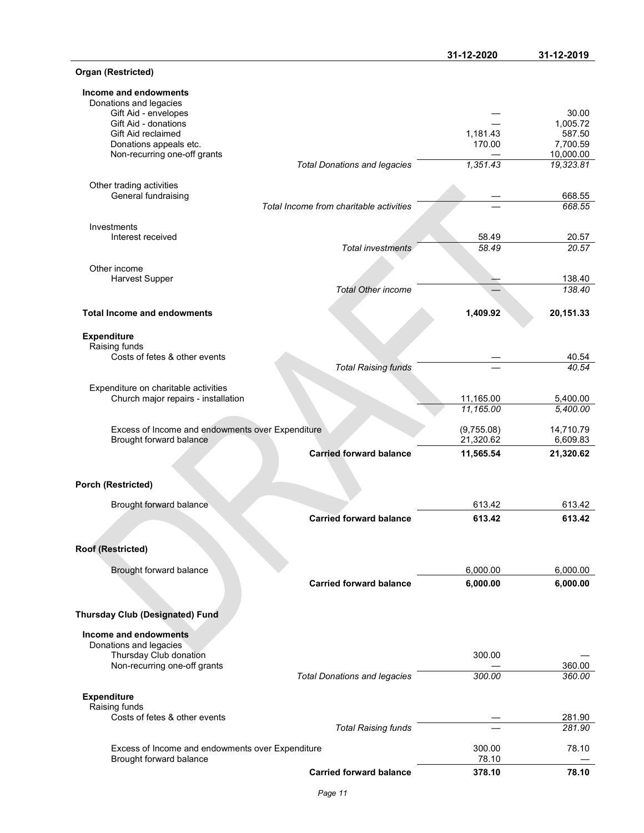|                                                                             |                                         | 31-12-2020              | 31-12-2019            |
|-----------------------------------------------------------------------------|-----------------------------------------|-------------------------|-----------------------|
| Organ (Restricted)                                                          |                                         |                         |                       |
| Income and endowments                                                       |                                         |                         |                       |
| Donations and legacies<br>Gift Aid - envelopes                              |                                         |                         | 30.00                 |
| Gift Aid - donations                                                        |                                         |                         | 1,005.72              |
| Gift Aid reclaimed                                                          |                                         | 1,181.43                | 587.50                |
| Donations appeals etc.<br>Non-recurring one-off grants                      |                                         | 170.00                  | 7,700.59<br>10,000.00 |
|                                                                             | <b>Total Donations and legacies</b>     | 1,351.43                | 19,323.81             |
| Other trading activities<br>General fundraising                             |                                         |                         | 668.55                |
|                                                                             | Total Income from charitable activities |                         | 668.55                |
| Investments                                                                 |                                         |                         |                       |
| Interest received                                                           |                                         | 58.49                   | $\frac{20.57}{20.57}$ |
|                                                                             | Total investments                       | 58.49                   |                       |
| Other income                                                                |                                         |                         |                       |
| <b>Harvest Supper</b>                                                       | <b>Total Other income</b>               |                         | 138.40<br>138.40      |
|                                                                             |                                         |                         |                       |
| <b>Total Income and endowments</b>                                          |                                         | 1,409.92                | 20,151.33             |
| <b>Expenditure</b>                                                          |                                         |                         |                       |
| Raising funds                                                               |                                         |                         |                       |
| Costs of fetes & other events                                               |                                         |                         | 40.54<br>40.54        |
|                                                                             | <b>Total Raising funds</b>              |                         |                       |
| Expenditure on charitable activities                                        |                                         |                         |                       |
| Church major repairs - installation                                         |                                         | 11,165.00<br>11,165.00  | 5,400.00<br>5,400.00  |
|                                                                             |                                         |                         |                       |
| Excess of Income and endowments over Expenditure<br>Brought forward balance |                                         | (9,755.08)<br>21,320.62 | 14,710.79<br>6,609.83 |
|                                                                             | <b>Carried forward balance</b>          | 11,565.54               | 21,320.62             |
|                                                                             |                                         |                         |                       |
| Porch (Restricted)                                                          |                                         |                         |                       |
| Brought forward balance                                                     |                                         | 613.42                  | 613.42                |
|                                                                             | <b>Carried forward balance</b>          | 613.42                  | 613.42                |
|                                                                             |                                         |                         |                       |
| Roof (Restricted)                                                           |                                         |                         |                       |
|                                                                             |                                         |                         |                       |
| Brought forward balance                                                     | <b>Carried forward balance</b>          | 6,000.00<br>6,000.00    | 6,000.00              |
|                                                                             |                                         |                         | 6,000.00              |
| Thursday Club (Designated) Fund                                             |                                         |                         |                       |
| Income and endowments                                                       |                                         |                         |                       |
| Donations and legacies                                                      |                                         |                         |                       |
| Thursday Club donation<br>Non-recurring one-off grants                      |                                         | 300.00                  | 360.00                |
|                                                                             | <b>Total Donations and legacies</b>     | 300.00                  | 360.00                |
| <b>Expenditure</b>                                                          |                                         |                         |                       |
| Raising funds                                                               |                                         |                         |                       |
| Costs of fetes & other events                                               | <b>Total Raising funds</b>              |                         | 281.90<br>281.90      |
|                                                                             |                                         |                         |                       |
| Excess of Income and endowments over Expenditure                            |                                         | 300.00<br>78.10         | 78.10                 |
| Brought forward balance                                                     | <b>Carried forward balance</b>          | 378.10                  | 78.10                 |
|                                                                             |                                         |                         |                       |